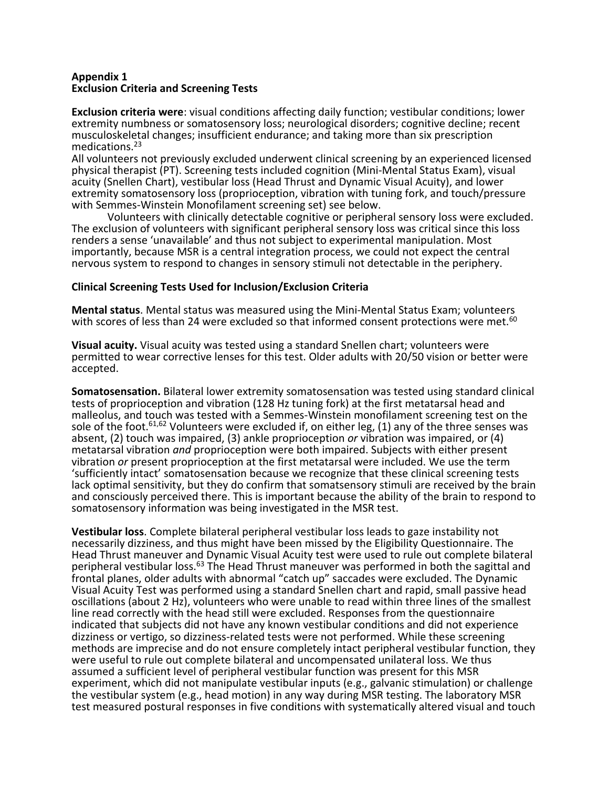### **Appendix 1 Exclusion Criteria and Screening Tests**

**Exclusion criteria were**: visual conditions affecting daily function; vestibular conditions; lower extremity numbness or somatosensory loss; neurological disorders; cognitive decline; recent musculoskeletal changes; insufficient endurance; and taking more than six prescription medications.<sup>23</sup>

All volunteers not previously excluded underwent clinical screening by an experienced licensed physical therapist (PT). Screening tests included cognition (Mini-Mental Status Exam), visual acuity (Snellen Chart), vestibular loss (Head Thrust and Dynamic Visual Acuity), and lower extremity somatosensory loss (proprioception, vibration with tuning fork, and touch/pressure with Semmes-Winstein Monofilament screening set) see below.

Volunteers with clinically detectable cognitive or peripheral sensory loss were excluded. The exclusion of volunteers with significant peripheral sensory loss was critical since this loss renders a sense 'unavailable' and thus not subject to experimental manipulation. Most importantly, because MSR is a central integration process, we could not expect the central nervous system to respond to changes in sensory stimuli not detectable in the periphery.

# **Clinical Screening Tests Used for Inclusion/Exclusion Criteria**

**Mental status**. Mental status was measured using the Mini-Mental Status Exam; volunteers with scores of less than 24 were excluded so that informed consent protections were met.<sup>60</sup>

**Visual acuity.** Visual acuity was tested using a standard Snellen chart; volunteers were permitted to wear corrective lenses for this test. Older adults with 20/50 vision or better were accepted.

**Somatosensation.** Bilateral lower extremity somatosensation was tested using standard clinical tests of proprioception and vibration (128 Hz tuning fork) at the first metatarsal head and malleolus, and touch was tested with a Semmes-Winstein monofilament screening test on the sole of the foot.<sup>61,62</sup> Volunteers were excluded if, on either leg, (1) any of the three senses was absent, (2) touch was impaired, (3) ankle proprioception *or* vibration was impaired, or (4) metatarsal vibration *and* proprioception were both impaired. Subjects with either present vibration *or* present proprioception at the first metatarsal were included. We use the term 'sufficiently intact' somatosensation because we recognize that these clinical screening tests lack optimal sensitivity, but they do confirm that somatsensory stimuli are received by the brain and consciously perceived there. This is important because the ability of the brain to respond to somatosensory information was being investigated in the MSR test.

**Vestibular loss**. Complete bilateral peripheral vestibular loss leads to gaze instability not necessarily dizziness, and thus might have been missed by the Eligibility Questionnaire. The Head Thrust maneuver and Dynamic Visual Acuity test were used to rule out complete bilateral peripheral vestibular loss.<sup>63</sup> The Head Thrust maneuver was performed in both the sagittal and frontal planes, older adults with abnormal "catch up" saccades were excluded. The Dynamic Visual Acuity Test was performed using a standard Snellen chart and rapid, small passive head oscillations (about 2 Hz), volunteers who were unable to read within three lines of the smallest line read correctly with the head still were excluded. Responses from the questionnaire indicated that subjects did not have any known vestibular conditions and did not experience dizziness or vertigo, so dizziness-related tests were not performed. While these screening methods are imprecise and do not ensure completely intact peripheral vestibular function, they were useful to rule out complete bilateral and uncompensated unilateral loss. We thus assumed a sufficient level of peripheral vestibular function was present for this MSR experiment, which did not manipulate vestibular inputs (e.g., galvanic stimulation) or challenge the vestibular system (e.g., head motion) in any way during MSR testing. The laboratory MSR test measured postural responses in five conditions with systematically altered visual and touch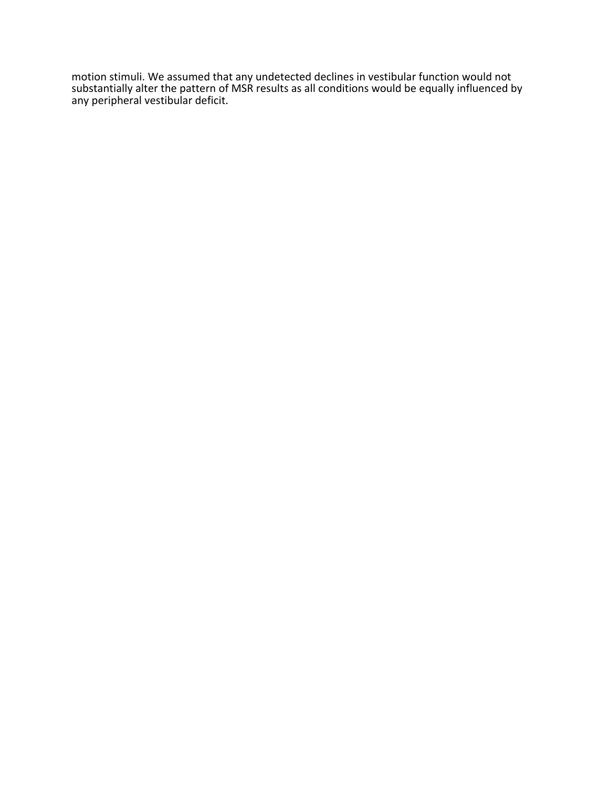motion stimuli. We assumed that any undetected declines in vestibular function would not substantially alter the pattern of MSR results as all conditions would be equally influenced by any peripheral vestibular deficit.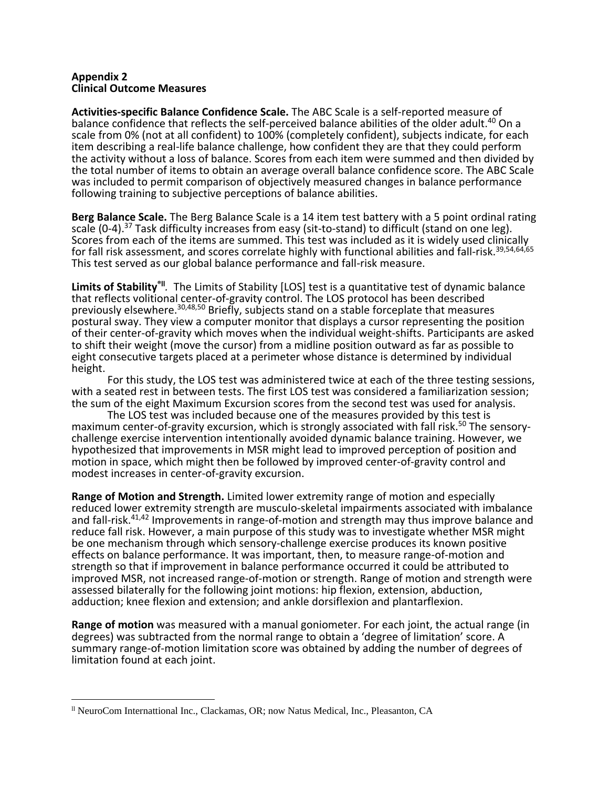### **Appendix 2 Clinical Outcome Measures**

**Activities-specific Balance Confidence Scale.** The ABC Scale is a self-reported measure of balance confidence that reflects the self-perceived balance abilities of the older adult.<sup>40</sup> On a scale from 0% (not at all confident) to 100% (completely confident), subjects indicate, for each item describing a real-life balance challenge, how confident they are that they could perform the activity without a loss of balance. Scores from each item were summed and then divided by the total number of items to obtain an average overall balance confidence score. The ABC Scale was included to permit comparison of objectively measured changes in balance performance following training to subjective perceptions of balance abilities.

**Berg Balance Scale.** The Berg Balance Scale is a 14 item test battery with a 5 point ordinal rating scale  $(0-4)$ .<sup>37</sup> Task difficulty increases from easy (sit-to-stand) to difficult (stand on one leg). Scores from each of the items are summed. This test was included as it is widely used clinically for fall risk assessment, and scores correlate highly with functional abilities and fall-risk.<sup>39,54,64,65</sup> This test served as our global balance performance and fall-risk measure.

Limits of Stability<sup>®II</sup>. The Limits of Stability [LOS] test is a quantitative test of dynamic balance that reflects volitional center-of-gravity control. The LOS protocol has been described previously elsewhere.30,48,50 Briefly, subjects stand on a stable forceplate that measures postural sway. They view a computer monitor that displays a cursor representing the position of their center-of-gravity which moves when the individual weight-shifts. Participants are asked to shift their weight (move the cursor) from a midline position outward as far as possible to eight consecutive targets placed at a perimeter whose distance is determined by individual height.

For this study, the LOS test was administered twice at each of the three testing sessions, with a seated rest in between tests. The first LOS test was considered a familiarization session; the sum of the eight Maximum Excursion scores from the second test was used for analysis.

The LOS test was included because one of the measures provided by this test is maximum center-of-gravity excursion, which is strongly associated with fall risk.<sup>50</sup> The sensorychallenge exercise intervention intentionally avoided dynamic balance training. However, we hypothesized that improvements in MSR might lead to improved perception of position and motion in space, which might then be followed by improved center-of-gravity control and modest increases in center-of-gravity excursion.

**Range of Motion and Strength.** Limited lower extremity range of motion and especially reduced lower extremity strength are musculo-skeletal impairments associated with imbalance and fall-risk.<sup>41,42</sup> Improvements in range-of-motion and strength may thus improve balance and reduce fall risk. However, a main purpose of this study was to investigate whether MSR might be one mechanism through which sensory-challenge exercise produces its known positive effects on balance performance. It was important, then, to measure range-of-motion and strength so that if improvement in balance performance occurred it could be attributed to improved MSR, not increased range-of-motion or strength. Range of motion and strength were assessed bilaterally for the following joint motions: hip flexion, extension, abduction, adduction; knee flexion and extension; and ankle dorsiflexion and plantarflexion.

**Range of motion** was measured with a manual goniometer. For each joint, the actual range (in degrees) was subtracted from the normal range to obtain a 'degree of limitation' score. A summary range-of-motion limitation score was obtained by adding the number of degrees of limitation found at each joint.

 $\overline{a}$ 

ll NeuroCom Internattional Inc., Clackamas, OR; now Natus Medical, Inc., Pleasanton, CA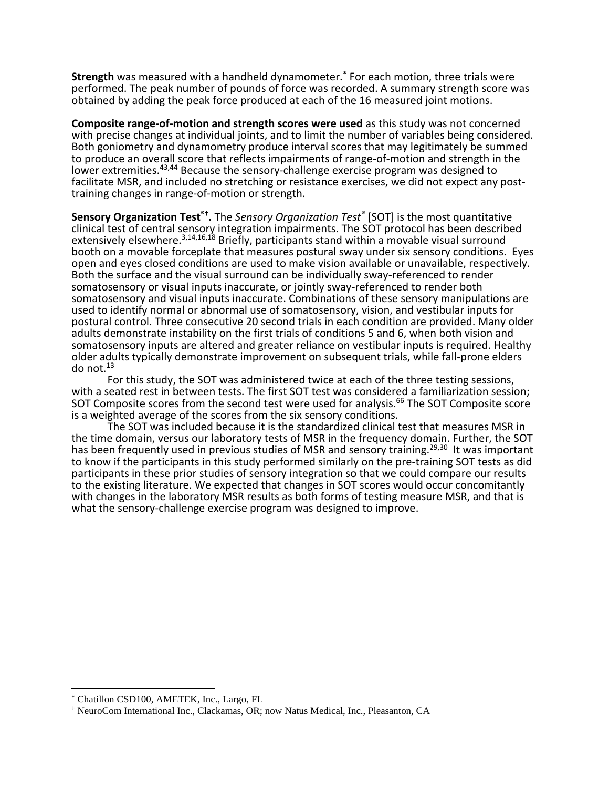**Strength** was measured with a handheld dynamometer.\* For each motion, three trials were performed. The peak number of pounds of force was recorded. A summary strength score was obtained by adding the peak force produced at each of the 16 measured joint motions.

**Composite range-of-motion and strength scores were used** as this study was not concerned with precise changes at individual joints, and to limit the number of variables being considered. Both goniometry and dynamometry produce interval scores that may legitimately be summed to produce an overall score that reflects impairments of range-of-motion and strength in the lower extremities.<sup>43,44</sup> Because the sensory-challenge exercise program was designed to facilitate MSR, and included no stretching or resistance exercises, we did not expect any posttraining changes in range-of-motion or strength.

**Sensory Organization Test®† .** The *Sensory Organization Test®* [SOT] is the most quantitative clinical test of central sensory integration impairments. The SOT protocol has been described extensively elsewhere.<sup>3,14,16,18</sup> Briefly, participants stand within a movable visual surround booth on a movable forceplate that measures postural sway under six sensory conditions. Eyes open and eyes closed conditions are used to make vision available or unavailable, respectively. Both the surface and the visual surround can be individually sway-referenced to render somatosensory or visual inputs inaccurate, or jointly sway-referenced to render both somatosensory and visual inputs inaccurate. Combinations of these sensory manipulations are used to identify normal or abnormal use of somatosensory, vision, and vestibular inputs for postural control. Three consecutive 20 second trials in each condition are provided. Many older adults demonstrate instability on the first trials of conditions 5 and 6, when both vision and somatosensory inputs are altered and greater reliance on vestibular inputs is required. Healthy older adults typically demonstrate improvement on subsequent trials, while fall-prone elders do not. $13$ 

For this study, the SOT was administered twice at each of the three testing sessions, with a seated rest in between tests. The first SOT test was considered a familiarization session; SOT Composite scores from the second test were used for analysis.<sup>66</sup> The SOT Composite score is a weighted average of the scores from the six sensory conditions.

The SOT was included because it is the standardized clinical test that measures MSR in the time domain, versus our laboratory tests of MSR in the frequency domain. Further, the SOT has been frequently used in previous studies of MSR and sensory training.<sup>29,30</sup> It was important to know if the participants in this study performed similarly on the pre-training SOT tests as did participants in these prior studies of sensory integration so that we could compare our results to the existing literature. We expected that changes in SOT scores would occur concomitantly with changes in the laboratory MSR results as both forms of testing measure MSR, and that is what the sensory-challenge exercise program was designed to improve.

 $\overline{a}$ 

Chatillon CSD100, AMETEK, Inc., Largo, FL

<sup>†</sup> NeuroCom International Inc., Clackamas, OR; now Natus Medical, Inc., Pleasanton, CA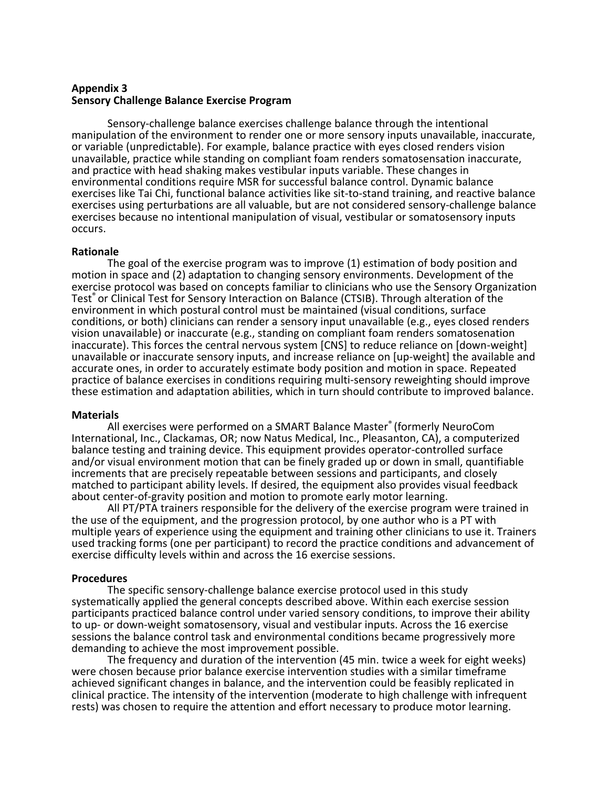### **Appendix 3 Sensory Challenge Balance Exercise Program**

Sensory-challenge balance exercises challenge balance through the intentional manipulation of the environment to render one or more sensory inputs unavailable, inaccurate, or variable (unpredictable). For example, balance practice with eyes closed renders vision unavailable, practice while standing on compliant foam renders somatosensation inaccurate, and practice with head shaking makes vestibular inputs variable. These changes in environmental conditions require MSR for successful balance control. Dynamic balance exercises like Tai Chi, functional balance activities like sit-to-stand training, and reactive balance exercises using perturbations are all valuable, but are not considered sensory-challenge balance exercises because no intentional manipulation of visual, vestibular or somatosensory inputs occurs.

# **Rationale**

The goal of the exercise program was to improve (1) estimation of body position and motion in space and (2) adaptation to changing sensory environments. Development of the exercise protocol was based on concepts familiar to clinicians who use the Sensory Organization Test<sup>®</sup> or Clinical Test for Sensory Interaction on Balance (CTSIB). Through alteration of the environment in which postural control must be maintained (visual conditions, surface conditions, or both) clinicians can render a sensory input unavailable (e.g., eyes closed renders vision unavailable) or inaccurate (e.g., standing on compliant foam renders somatosenation inaccurate). This forces the central nervous system [CNS] to reduce reliance on [down-weight] unavailable or inaccurate sensory inputs, and increase reliance on [up-weight] the available and accurate ones, in order to accurately estimate body position and motion in space. Repeated practice of balance exercises in conditions requiring multi-sensory reweighting should improve these estimation and adaptation abilities, which in turn should contribute to improved balance.

#### **Materials**

All exercises were performed on a SMART Balance Master® (formerly NeuroCom International, Inc., Clackamas, OR; now Natus Medical, Inc., Pleasanton, CA), a computerized balance testing and training device. This equipment provides operator-controlled surface and/or visual environment motion that can be finely graded up or down in small, quantifiable increments that are precisely repeatable between sessions and participants, and closely matched to participant ability levels. If desired, the equipment also provides visual feedback about center-of-gravity position and motion to promote early motor learning.

All PT/PTA trainers responsible for the delivery of the exercise program were trained in the use of the equipment, and the progression protocol, by one author who is a PT with multiple years of experience using the equipment and training other clinicians to use it. Trainers used tracking forms (one per participant) to record the practice conditions and advancement of exercise difficulty levels within and across the 16 exercise sessions.

# **Procedures**

The specific sensory-challenge balance exercise protocol used in this study systematically applied the general concepts described above. Within each exercise session participants practiced balance control under varied sensory conditions, to improve their ability to up- or down-weight somatosensory, visual and vestibular inputs. Across the 16 exercise sessions the balance control task and environmental conditions became progressively more demanding to achieve the most improvement possible.

The frequency and duration of the intervention (45 min. twice a week for eight weeks) were chosen because prior balance exercise intervention studies with a similar timeframe achieved significant changes in balance, and the intervention could be feasibly replicated in clinical practice. The intensity of the intervention (moderate to high challenge with infrequent rests) was chosen to require the attention and effort necessary to produce motor learning.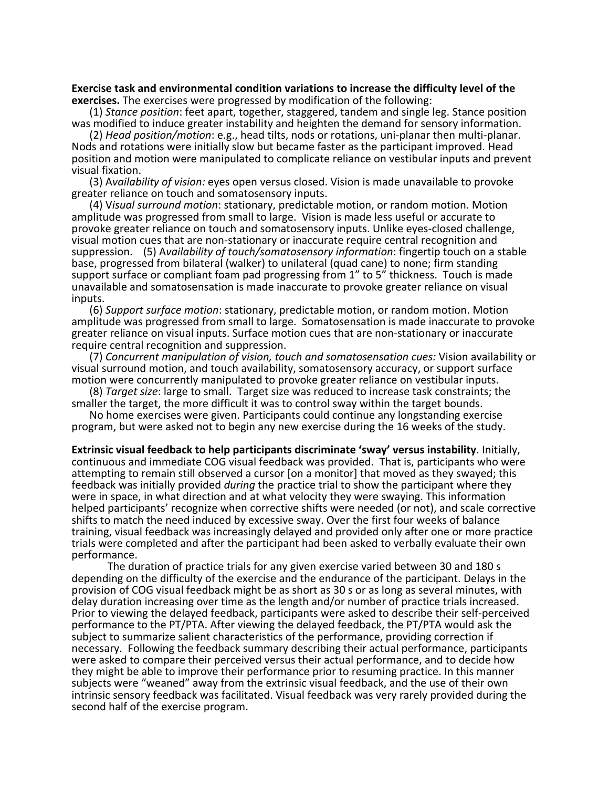**Exercise task and environmental condition variations to increase the difficulty level of the exercises.** The exercises were progressed by modification of the following:

(1) *Stance position*: feet apart, together, staggered, tandem and single leg. Stance position was modified to induce greater instability and heighten the demand for sensory information.

(2) *Head position/motion*: e.g., head tilts, nods or rotations, uni-planar then multi-planar. Nods and rotations were initially slow but became faster as the participant improved. Head position and motion were manipulated to complicate reliance on vestibular inputs and prevent visual fixation.

(3) A*vailability of vision:* eyes open versus closed. Vision is made unavailable to provoke greater reliance on touch and somatosensory inputs.

(4) V*isual surround motion*: stationary, predictable motion, or random motion. Motion amplitude was progressed from small to large. Vision is made less useful or accurate to provoke greater reliance on touch and somatosensory inputs. Unlike eyes-closed challenge, visual motion cues that are non-stationary or inaccurate require central recognition and suppression. (5) A*vailability of touch/somatosensory information*: fingertip touch on a stable base, progressed from bilateral (walker) to unilateral (quad cane) to none; firm standing support surface or compliant foam pad progressing from 1" to 5" thickness. Touch is made unavailable and somatosensation is made inaccurate to provoke greater reliance on visual inputs.

(6) *Support surface motion*: stationary, predictable motion, or random motion. Motion amplitude was progressed from small to large. Somatosensation is made inaccurate to provoke greater reliance on visual inputs. Surface motion cues that are non-stationary or inaccurate require central recognition and suppression.

(7) *Concurrent manipulation of vision, touch and somatosensation cues:* Vision availability or visual surround motion, and touch availability, somatosensory accuracy, or support surface motion were concurrently manipulated to provoke greater reliance on vestibular inputs.

(8) *Target size*: large to small. Target size was reduced to increase task constraints; the smaller the target, the more difficult it was to control sway within the target bounds.

No home exercises were given. Participants could continue any longstanding exercise program, but were asked not to begin any new exercise during the 16 weeks of the study.

**Extrinsic visual feedback to help participants discriminate 'sway' versus instability**. Initially, continuous and immediate COG visual feedback was provided. That is, participants who were attempting to remain still observed a cursor [on a monitor] that moved as they swayed; this feedback was initially provided *during* the practice trial to show the participant where they were in space, in what direction and at what velocity they were swaying. This information helped participants' recognize when corrective shifts were needed (or not), and scale corrective shifts to match the need induced by excessive sway. Over the first four weeks of balance training, visual feedback was increasingly delayed and provided only after one or more practice trials were completed and after the participant had been asked to verbally evaluate their own performance.

The duration of practice trials for any given exercise varied between 30 and 180 s depending on the difficulty of the exercise and the endurance of the participant. Delays in the provision of COG visual feedback might be as short as 30 s or as long as several minutes, with delay duration increasing over time as the length and/or number of practice trials increased. Prior to viewing the delayed feedback, participants were asked to describe their self-perceived performance to the PT/PTA. After viewing the delayed feedback, the PT/PTA would ask the subject to summarize salient characteristics of the performance, providing correction if necessary. Following the feedback summary describing their actual performance, participants were asked to compare their perceived versus their actual performance, and to decide how they might be able to improve their performance prior to resuming practice. In this manner subjects were "weaned" away from the extrinsic visual feedback, and the use of their own intrinsic sensory feedback was facilitated. Visual feedback was very rarely provided during the second half of the exercise program.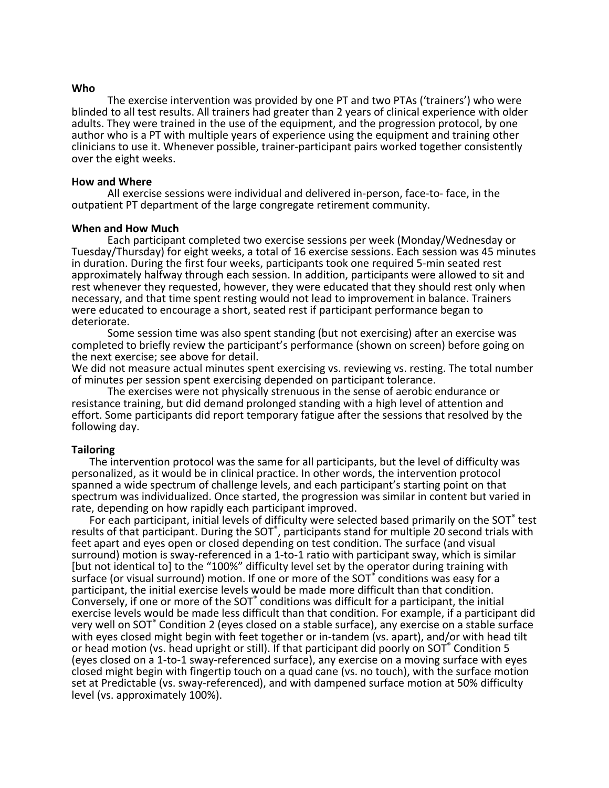#### **Who**

The exercise intervention was provided by one PT and two PTAs ('trainers') who were blinded to all test results. All trainers had greater than 2 years of clinical experience with older adults. They were trained in the use of the equipment, and the progression protocol, by one author who is a PT with multiple years of experience using the equipment and training other clinicians to use it. Whenever possible, trainer-participant pairs worked together consistently over the eight weeks.

#### **How and Where**

All exercise sessions were individual and delivered in-person, face-to- face, in the outpatient PT department of the large congregate retirement community.

#### **When and How Much**

Each participant completed two exercise sessions per week (Monday/Wednesday or Tuesday/Thursday) for eight weeks, a total of 16 exercise sessions. Each session was 45 minutes in duration. During the first four weeks, participants took one required 5-min seated rest approximately halfway through each session. In addition, participants were allowed to sit and rest whenever they requested, however, they were educated that they should rest only when necessary, and that time spent resting would not lead to improvement in balance. Trainers were educated to encourage a short, seated rest if participant performance began to deteriorate.

Some session time was also spent standing (but not exercising) after an exercise was completed to briefly review the participant's performance (shown on screen) before going on the next exercise; see above for detail.

We did not measure actual minutes spent exercising vs. reviewing vs. resting. The total number of minutes per session spent exercising depended on participant tolerance.

The exercises were not physically strenuous in the sense of aerobic endurance or resistance training, but did demand prolonged standing with a high level of attention and effort. Some participants did report temporary fatigue after the sessions that resolved by the following day.

### **Tailoring**

The intervention protocol was the same for all participants, but the level of difficulty was personalized, as it would be in clinical practice. In other words, the intervention protocol spanned a wide spectrum of challenge levels, and each participant's starting point on that spectrum was individualized. Once started, the progression was similar in content but varied in rate, depending on how rapidly each participant improved.

For each participant, initial levels of difficulty were selected based primarily on the SOT<sup>®</sup> test results of that participant. During the SOT<sup>®</sup>, participants stand for multiple 20 second trials with feet apart and eyes open or closed depending on test condition. The surface (and visual surround) motion is sway-referenced in a 1-to-1 ratio with participant sway, which is similar [but not identical to] to the "100%" difficulty level set by the operator during training with surface (or visual surround) motion. If one or more of the SOT<sup>®</sup> conditions was easy for a participant, the initial exercise levels would be made more difficult than that condition. Conversely, if one or more of the SOT<sup>®</sup> conditions was difficult for a participant, the initial exercise levels would be made less difficult than that condition. For example, if a participant did very well on SOT® Condition 2 (eyes closed on a stable surface), any exercise on a stable surface with eyes closed might begin with feet together or in-tandem (vs. apart), and/or with head tilt or head motion (vs. head upright or still). If that participant did poorly on SOT<sup>®</sup> Condition 5 (eyes closed on a 1-to-1 sway-referenced surface), any exercise on a moving surface with eyes closed might begin with fingertip touch on a quad cane (vs. no touch), with the surface motion set at Predictable (vs. sway-referenced), and with dampened surface motion at 50% difficulty level (vs. approximately 100%).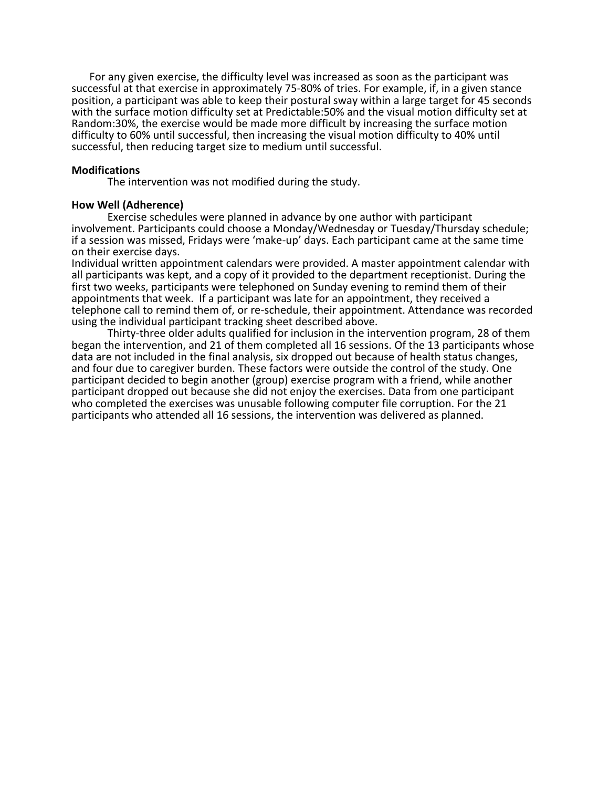For any given exercise, the difficulty level was increased as soon as the participant was successful at that exercise in approximately 75-80% of tries. For example, if, in a given stance position, a participant was able to keep their postural sway within a large target for 45 seconds with the surface motion difficulty set at Predictable:50% and the visual motion difficulty set at Random:30%, the exercise would be made more difficult by increasing the surface motion difficulty to 60% until successful, then increasing the visual motion difficulty to 40% until successful, then reducing target size to medium until successful.

### **Modifications**

The intervention was not modified during the study.

### **How Well (Adherence)**

Exercise schedules were planned in advance by one author with participant involvement. Participants could choose a Monday/Wednesday or Tuesday/Thursday schedule; if a session was missed, Fridays were 'make-up' days. Each participant came at the same time on their exercise days.

Individual written appointment calendars were provided. A master appointment calendar with all participants was kept, and a copy of it provided to the department receptionist. During the first two weeks, participants were telephoned on Sunday evening to remind them of their appointments that week. If a participant was late for an appointment, they received a telephone call to remind them of, or re-schedule, their appointment. Attendance was recorded using the individual participant tracking sheet described above.

Thirty-three older adults qualified for inclusion in the intervention program, 28 of them began the intervention, and 21 of them completed all 16 sessions. Of the 13 participants whose data are not included in the final analysis, six dropped out because of health status changes, and four due to caregiver burden. These factors were outside the control of the study. One participant decided to begin another (group) exercise program with a friend, while another participant dropped out because she did not enjoy the exercises. Data from one participant who completed the exercises was unusable following computer file corruption. For the 21 participants who attended all 16 sessions, the intervention was delivered as planned.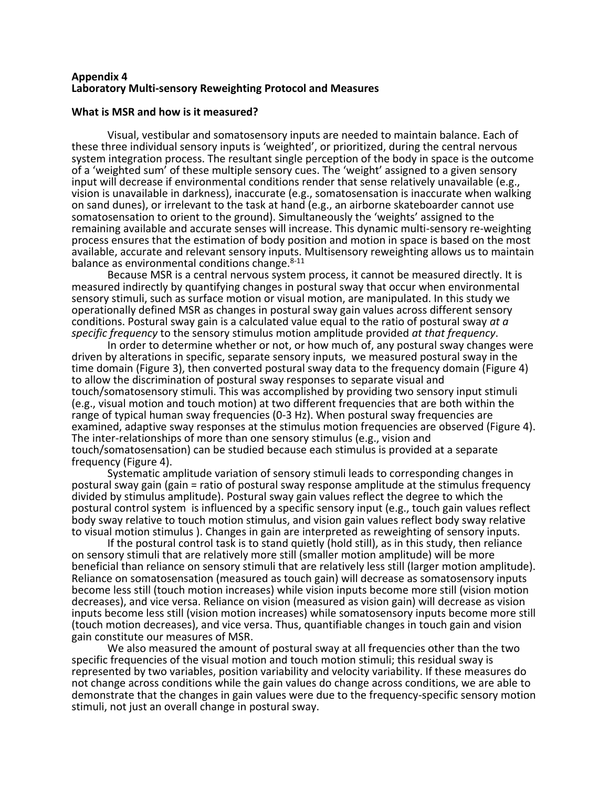### **Appendix 4 Laboratory Multi-sensory Reweighting Protocol and Measures**

### **What is MSR and how is it measured?**

Visual, vestibular and somatosensory inputs are needed to maintain balance. Each of these three individual sensory inputs is 'weighted', or prioritized, during the central nervous system integration process. The resultant single perception of the body in space is the outcome of a 'weighted sum' of these multiple sensory cues. The 'weight' assigned to a given sensory input will decrease if environmental conditions render that sense relatively unavailable (e.g., vision is unavailable in darkness), inaccurate (e.g., somatosensation is inaccurate when walking on sand dunes), or irrelevant to the task at hand (e.g., an airborne skateboarder cannot use somatosensation to orient to the ground). Simultaneously the 'weights' assigned to the remaining available and accurate senses will increase. This dynamic multi-sensory re-weighting process ensures that the estimation of body position and motion in space is based on the most available, accurate and relevant sensory inputs. Multisensory reweighting allows us to maintain balance as environmental conditions change. $8-11$ 

Because MSR is a central nervous system process, it cannot be measured directly. It is measured indirectly by quantifying changes in postural sway that occur when environmental sensory stimuli, such as surface motion or visual motion, are manipulated. In this study we operationally defined MSR as changes in postural sway gain values across different sensory conditions. Postural sway gain is a calculated value equal to the ratio of postural sway *at a specific frequency* to the sensory stimulus motion amplitude provided *at that frequency*.

In order to determine whether or not, or how much of, any postural sway changes were driven by alterations in specific, separate sensory inputs, we measured postural sway in the time domain (Figure 3), then converted postural sway data to the frequency domain (Figure 4) to allow the discrimination of postural sway responses to separate visual and touch/somatosensory stimuli. This was accomplished by providing two sensory input stimuli (e.g., visual motion and touch motion) at two different frequencies that are both within the range of typical human sway frequencies (0-3 Hz). When postural sway frequencies are examined, adaptive sway responses at the stimulus motion frequencies are observed (Figure 4). The inter-relationships of more than one sensory stimulus (e.g., vision and touch/somatosensation) can be studied because each stimulus is provided at a separate frequency (Figure 4).

Systematic amplitude variation of sensory stimuli leads to corresponding changes in postural sway gain (gain = ratio of postural sway response amplitude at the stimulus frequency divided by stimulus amplitude). Postural sway gain values reflect the degree to which the postural control system is influenced by a specific sensory input (e.g., touch gain values reflect body sway relative to touch motion stimulus, and vision gain values reflect body sway relative to visual motion stimulus ). Changes in gain are interpreted as reweighting of sensory inputs.

If the postural control task is to stand quietly (hold still), as in this study, then reliance on sensory stimuli that are relatively more still (smaller motion amplitude) will be more beneficial than reliance on sensory stimuli that are relatively less still (larger motion amplitude). Reliance on somatosensation (measured as touch gain) will decrease as somatosensory inputs become less still (touch motion increases) while vision inputs become more still (vision motion decreases), and vice versa. Reliance on vision (measured as vision gain) will decrease as vision inputs become less still (vision motion increases) while somatosensory inputs become more still (touch motion decreases), and vice versa. Thus, quantifiable changes in touch gain and vision gain constitute our measures of MSR.

We also measured the amount of postural sway at all frequencies other than the two specific frequencies of the visual motion and touch motion stimuli; this residual sway is represented by two variables, position variability and velocity variability. If these measures do not change across conditions while the gain values do change across conditions, we are able to demonstrate that the changes in gain values were due to the frequency-specific sensory motion stimuli, not just an overall change in postural sway.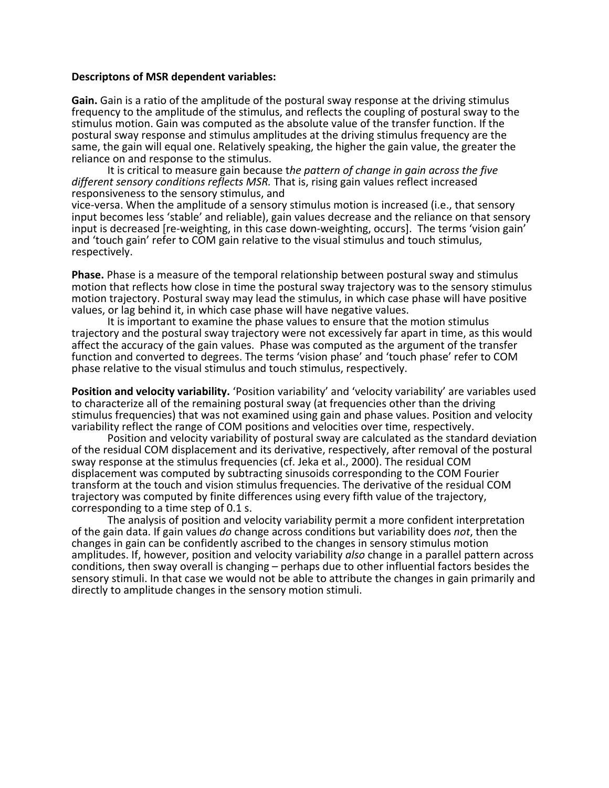### **Descriptons of MSR dependent variables:**

**Gain.** Gain is a ratio of the amplitude of the postural sway response at the driving stimulus frequency to the amplitude of the stimulus, and reflects the coupling of postural sway to the stimulus motion. Gain was computed as the absolute value of the transfer function. If the postural sway response and stimulus amplitudes at the driving stimulus frequency are the same, the gain will equal one. Relatively speaking, the higher the gain value, the greater the reliance on and response to the stimulus.

It is critical to measure gain because t*he pattern of change in gain across the five different sensory conditions reflects MSR.* That is, rising gain values reflect increased responsiveness to the sensory stimulus, and

vice-versa. When the amplitude of a sensory stimulus motion is increased (i.e., that sensory input becomes less 'stable' and reliable), gain values decrease and the reliance on that sensory input is decreased [re-weighting, in this case down-weighting, occurs]. The terms 'vision gain' and 'touch gain' refer to COM gain relative to the visual stimulus and touch stimulus, respectively.

**Phase.** Phase is a measure of the temporal relationship between postural sway and stimulus motion that reflects how close in time the postural sway trajectory was to the sensory stimulus motion trajectory. Postural sway may lead the stimulus, in which case phase will have positive values, or lag behind it, in which case phase will have negative values.

It is important to examine the phase values to ensure that the motion stimulus trajectory and the postural sway trajectory were not excessively far apart in time, as this would affect the accuracy of the gain values. Phase was computed as the argument of the transfer function and converted to degrees. The terms 'vision phase' and 'touch phase' refer to COM phase relative to the visual stimulus and touch stimulus, respectively.

**Position and velocity variability.** 'Position variability' and 'velocity variability' are variables used to characterize all of the remaining postural sway (at frequencies other than the driving stimulus frequencies) that was not examined using gain and phase values. Position and velocity variability reflect the range of COM positions and velocities over time, respectively.

Position and velocity variability of postural sway are calculated as the standard deviation of the residual COM displacement and its derivative, respectively, after removal of the postural sway response at the stimulus frequencies (cf. Jeka et al., 2000). The residual COM displacement was computed by subtracting sinusoids corresponding to the COM Fourier transform at the touch and vision stimulus frequencies. The derivative of the residual COM trajectory was computed by finite differences using every fifth value of the trajectory, corresponding to a time step of 0.1 s.

The analysis of position and velocity variability permit a more confident interpretation of the gain data. If gain values *do* change across conditions but variability does *not*, then the changes in gain can be confidently ascribed to the changes in sensory stimulus motion amplitudes. If, however, position and velocity variability *also* change in a parallel pattern across conditions, then sway overall is changing – perhaps due to other influential factors besides the sensory stimuli. In that case we would not be able to attribute the changes in gain primarily and directly to amplitude changes in the sensory motion stimuli.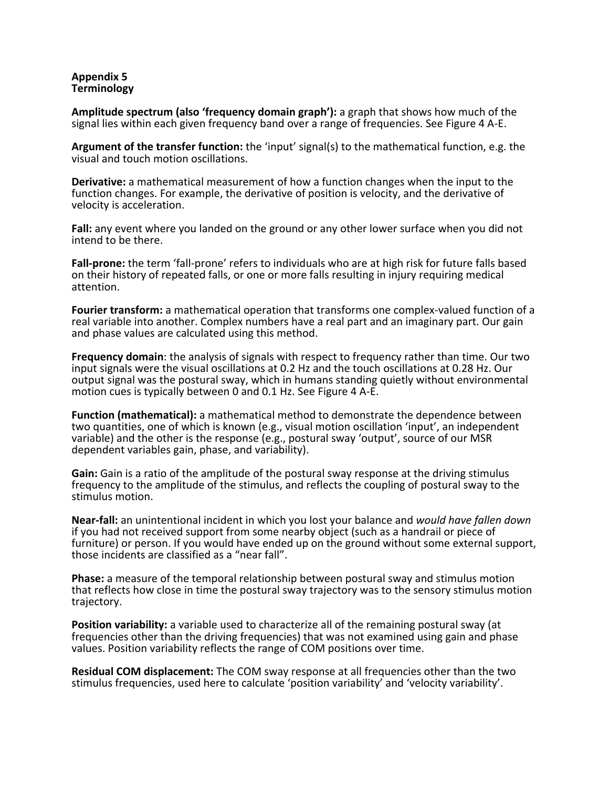# **Appendix 5 Terminology**

**Amplitude spectrum (also 'frequency domain graph'):** a graph that shows how much of the signal lies within each given frequency band over a range of frequencies. See Figure 4 A-E.

**Argument of the transfer function:** the 'input' signal(s) to the mathematical function, e.g. the visual and touch motion oscillations.

**Derivative:** a mathematical measurement of how a function changes when the input to the function changes. For example, the derivative of position is velocity, and the derivative of velocity is acceleration.

**Fall:** any event where you landed on the ground or any other lower surface when you did not intend to be there.

**Fall-prone:** the term 'fall-prone' refers to individuals who are at high risk for future falls based on their history of repeated falls, or one or more falls resulting in injury requiring medical attention.

**Fourier transform:** a mathematical operation that transforms one complex-valued function of a real variable into another. Complex numbers have a real part and an imaginary part. Our gain and phase values are calculated using this method.

**Frequency domain**: the analysis of signals with respect to frequency rather than time. Our two input signals were the visual oscillations at 0.2 Hz and the touch oscillations at 0.28 Hz. Our output signal was the postural sway, which in humans standing quietly without environmental motion cues is typically between 0 and 0.1 Hz. See Figure 4 A-E.

**Function (mathematical):** a mathematical method to demonstrate the dependence between two quantities, one of which is known (e.g., visual motion oscillation 'input', an independent variable) and the other is the response (e.g., postural sway 'output', source of our MSR dependent variables gain, phase, and variability).

**Gain:** Gain is a ratio of the amplitude of the postural sway response at the driving stimulus frequency to the amplitude of the stimulus, and reflects the coupling of postural sway to the stimulus motion.

**Near-fall:** an unintentional incident in which you lost your balance and *would have fallen down* if you had not received support from some nearby object (such as a handrail or piece of furniture) or person. If you would have ended up on the ground without some external support, those incidents are classified as a "near fall".

**Phase:** a measure of the temporal relationship between postural sway and stimulus motion that reflects how close in time the postural sway trajectory was to the sensory stimulus motion trajectory.

**Position variability:** a variable used to characterize all of the remaining postural sway (at frequencies other than the driving frequencies) that was not examined using gain and phase values. Position variability reflects the range of COM positions over time.

**Residual COM displacement:** The COM sway response at all frequencies other than the two stimulus frequencies, used here to calculate 'position variability' and 'velocity variability'.